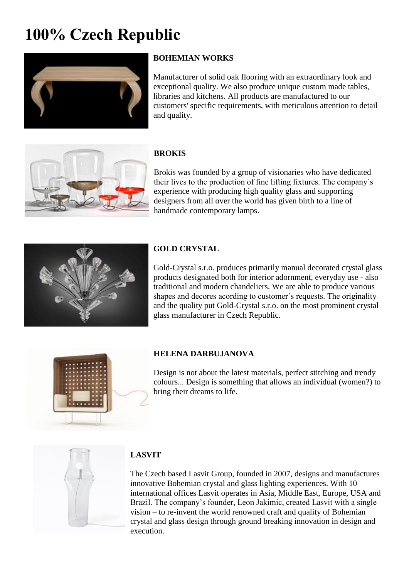# **100% Czech Republic**



# **BOHEMIAN WORKS**

Manufacturer of solid oak flooring with an extraordinary look and exceptional quality. We also produce unique custom made tables, libraries and kitchens. All products are manufactured to our customers' specific requirements, with meticulous attention to detail and quality.



## **BROKIS**

Brokis was founded by a group of visionaries who have dedicated their lives to the production of fine lifting fixtures. The company´s experience with producing high quality glass and supporting designers from all over the world has given birth to a line of handmade contemporary lamps.



## **GOLD CRYSTAL**

Gold-Crystal s.r.o. produces primarily manual decorated crystal glass products designated both for interior adornment, everyday use - also traditional and modern chandeliers. We are able to produce various shapes and decores acording to customer´s requests. The originality and the quality put Gold-Crystal s.r.o. on the most prominent crystal glass manufacturer in Czech Republic.



## **HELENA DARBUJANOVA**

Design is not about the latest materials, perfect stitching and trendy colours... Design is something that allows an individual (women?) to bring their dreams to life.



## **LASVIT**

The Czech based Lasvit Group, founded in 2007, designs and manufactures innovative Bohemian crystal and glass lighting experiences. With 10 international offices Lasvit operates in Asia, Middle East, Europe, USA and Brazil. The company's founder, Leon Jakimic, created Lasvit with a single vision – to re-invent the world renowned craft and quality of Bohemian crystal and glass design through ground breaking innovation in design and execution.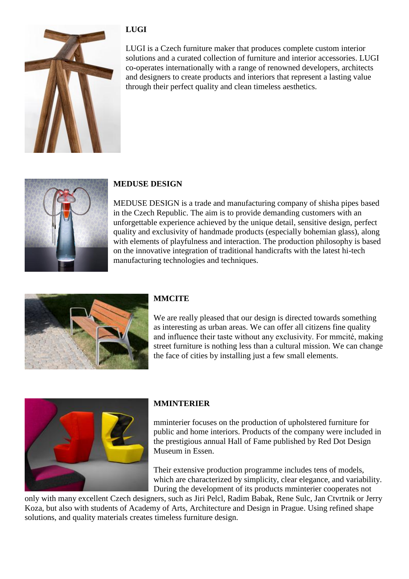

LUGI is a Czech furniture maker that produces complete custom interior solutions and a curated collection of furniture and interior accessories. LUGI co-operates internationally with a range of renowned developers, architects and designers to create products and interiors that represent a lasting value through their perfect quality and clean timeless aesthetics.



## **MEDUSE DESIGN**

**LUGI**

MEDUSE DESIGN is a trade and manufacturing company of shisha pipes based in the Czech Republic. The aim is to provide demanding customers with an unforgettable experience achieved by the unique detail, sensitive design, perfect quality and exclusivity of handmade products (especially bohemian glass), along with elements of playfulness and interaction. The production philosophy is based on the innovative integration of traditional handicrafts with the latest hi-tech manufacturing technologies and techniques.



## **MMCITE**

We are really pleased that our design is directed towards something as interesting as urban areas. We can offer all citizens fine quality and influence their taste without any exclusivity. For mmcité, making street furniture is nothing less than a cultural mission. We can change the face of cities by installing just a few small elements.



## **MMINTERIER**

mminterier focuses on the production of upholstered furniture for public and home interiors. Products of the company were included in the prestigious annual Hall of Fame published by Red Dot Design Museum in Essen.

Their extensive production programme includes tens of models, which are characterized by simplicity, clear elegance, and variability. During the development of its products mminterier cooperates not

only with many excellent Czech designers, such as Jiri Pelcl, Radim Babak, Rene Sulc, Jan Ctvrtnik or Jerry Koza, but also with students of Academy of Arts, Architecture and Design in Prague. Using refined shape solutions, and quality materials creates timeless furniture design.